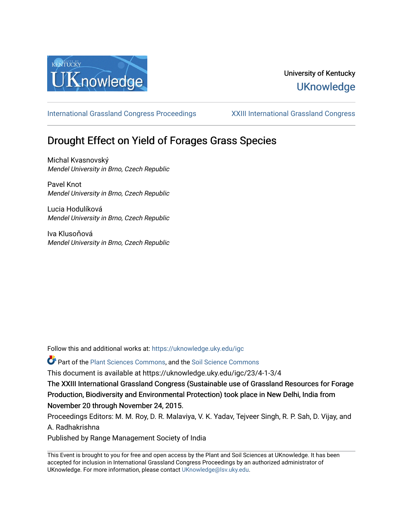

# University of Kentucky **UKnowledge**

[International Grassland Congress Proceedings](https://uknowledge.uky.edu/igc) [XXIII International Grassland Congress](https://uknowledge.uky.edu/igc/23) 

# Drought Effect on Yield of Forages Grass Species

Michal Kvasnovský Mendel University in Brno, Czech Republic

Pavel Knot Mendel University in Brno, Czech Republic

Lucia Hodulíková Mendel University in Brno, Czech Republic

Iva Klusoňová Mendel University in Brno, Czech Republic

Follow this and additional works at: [https://uknowledge.uky.edu/igc](https://uknowledge.uky.edu/igc?utm_source=uknowledge.uky.edu%2Figc%2F23%2F4-1-3%2F4&utm_medium=PDF&utm_campaign=PDFCoverPages) 

Part of the [Plant Sciences Commons](http://network.bepress.com/hgg/discipline/102?utm_source=uknowledge.uky.edu%2Figc%2F23%2F4-1-3%2F4&utm_medium=PDF&utm_campaign=PDFCoverPages), and the [Soil Science Commons](http://network.bepress.com/hgg/discipline/163?utm_source=uknowledge.uky.edu%2Figc%2F23%2F4-1-3%2F4&utm_medium=PDF&utm_campaign=PDFCoverPages) 

This document is available at https://uknowledge.uky.edu/igc/23/4-1-3/4

The XXIII International Grassland Congress (Sustainable use of Grassland Resources for Forage Production, Biodiversity and Environmental Protection) took place in New Delhi, India from November 20 through November 24, 2015.

Proceedings Editors: M. M. Roy, D. R. Malaviya, V. K. Yadav, Tejveer Singh, R. P. Sah, D. Vijay, and A. Radhakrishna

Published by Range Management Society of India

This Event is brought to you for free and open access by the Plant and Soil Sciences at UKnowledge. It has been accepted for inclusion in International Grassland Congress Proceedings by an authorized administrator of UKnowledge. For more information, please contact [UKnowledge@lsv.uky.edu](mailto:UKnowledge@lsv.uky.edu).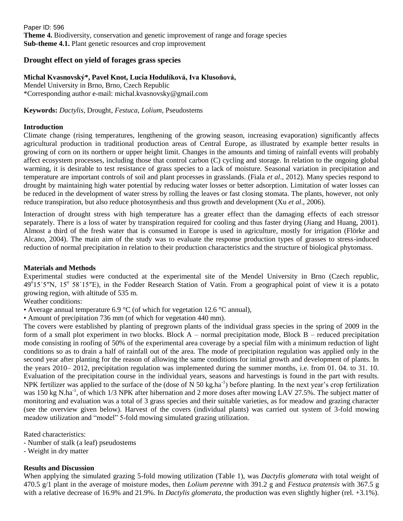Paper ID: 596 **Theme 4.** Biodiversity, conservation and genetic improvement of range and forage species **Sub-theme 4.1.** Plant genetic resources and crop improvement

## **Drought effect on yield of forages grass species**

### **Michal Kvasnovský\*, Pavel Knot, Lucia Hodulíková, Iva Klusoňová,**

Mendel University in Brno, Brno, Czech Republic \*Corresponding author e-mail: michal.kvasnovsky@gmail.com

#### **Keywords:** *Dactylis*, Drought, *Festuca*, *Lolium*, Pseudostems

#### **Introduction**

Climate change (rising temperatures, lengthening of the growing season, increasing evaporation) significantly affects agricultural production in traditional production areas of Central Europe, as illustrated by example better results in growing of corn on its northern or upper height limit. Changes in the amounts and timing of rainfall events will probably affect ecosystem processes, including those that control carbon (C) cycling and storage. In relation to the ongoing global warming, it is desirable to test resistance of grass species to a lack of moisture. Seasonal variation in precipitation and temperature are important controls of soil and plant processes in grasslands. (Fiala *et al*., 2012). Many species respond to drought by maintaining high water potential by reducing water losses or better adsorption. Limitation of water losses can be reduced in the development of water stress by rolling the leaves or fast closing stomata. The plants, however, not only reduce transpiration, but also reduce photosynthesis and thus growth and development (Xu *et al*., 2006).

Interaction of drought stress with high temperature has a greater effect than the damaging effects of each stressor separately. There is a loss of water by transpiration required for cooling and thus faster drying (Jiang and Huang, 2001). Almost a third of the fresh water that is consumed in Europe is used in agriculture, mostly for irrigation (Flörke and Alcano, 2004). The main aim of the study was to evaluate the response production types of grasses to stress-induced reduction of normal precipitation in relation to their production characteristics and the structure of biological phytomass.

#### **Materials and Methods**

Experimental studies were conducted at the experimental site of the Mendel University in Brno (Czech republic, 49<sup>o</sup>15´5"N, 15<sup>o</sup> 58´15"E), in the Fodder Research Station of Vatín. From a geographical point of view it is a potato growing region, with altitude of 535 m.

#### Weather conditions:

• Average annual temperature 6.9 °C (of which for vegetation 12.6 °C annual),

• Amount of precipitation 736 mm (of which for vegetation 440 mm).

The covers were established by planting of pregrown plants of the individual grass species in the spring of 2009 in the form of a small plot experiment in two blocks. Block A – normal precipitation mode, Block B – reduced precipitation mode consisting in roofing of 50% of the experimental area coverage by a special film with a minimum reduction of light conditions so as to drain a half of rainfall out of the area. The mode of precipitation regulation was applied only in the second year after planting for the reason of allowing the same conditions for initial growth and development of plants. In the years 2010– 2012, precipitation regulation was implemented during the summer months, i.e. from 01. 04. to 31. 10. Evaluation of the precipitation course in the individual years, seasons and harvestings is found in the part with results. NPK fertilizer was applied to the surface of the (dose of N 50 kg.ha<sup>-1</sup>) before planting. In the next year's crop fertilization was 150 kg N.ha<sup>-1</sup>, of which 1/3 NPK after hibernation and 2 more doses after mowing LAV 27.5%. The subject matter of monitoring and evaluation was a total of 3 grass species and their suitable varieties, as for meadow and grazing character (see the overview given below). Harvest of the covers (individual plants) was carried out system of 3-fold mowing meadow utilization and "model" 5-fold mowing simulated grazing utilization.

Rated characteristics:

- Number of stalk (a leaf) pseudostems
- Weight in dry matter

#### **Results and Discussion**

When applying the simulated grazing 5-fold mowing utilization (Table 1), was *Dactylis glomerata* with total weight of 470.5 g/1 plant in the average of moisture modes, then *Lolium perenne* with 391.2 g and *Festuca pratensis* with 367.5 g with a relative decrease of 16.9% and 21.9%. In *Dactylis glomerata*, the production was even slightly higher (rel. +3.1%).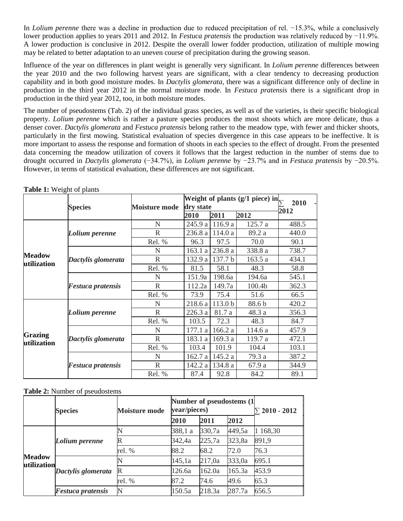In *Lolium perenne* there was a decline in production due to reduced precipitation of rel. −15.3%, while a conclusively lower production applies to years 2011 and 2012. In *Festuca pratensis* the production was relatively reduced by −11.9%. A lower production is conclusive in 2012. Despite the overall lower fodder production, utilization of multiple mowing may be related to better adaptation to an uneven course of precipitation during the growing season.

Influence of the year on differences in plant weight is generally very significant. In *Lolium perenne* differences between the year 2010 and the two following harvest years are significant, with a clear tendency to decreasing production capability and in both good moisture modes. In *Dactylis glomerata*, there was a significant difference only of decline in production in the third year 2012 in the normal moisture mode. In *Festuca pratensis* there is a significant drop in production in the third year 2012, too, in both moisture modes.

The number of pseudostems (Tab. 2) of the individual grass species, as well as of the varieties, is their specific biological property. *Lolium perenne* which is rather a pasture species produces the most shoots which are more delicate, thus a denser cover. *Dactylis glomerata* and *Festuca pratensis* belong rather to the meadow type, with fewer and thicker shoots, particularly in the first mowing. Statistical evaluation of species divergence in this case appears to be ineffective. It is more important to assess the response and formation of shoots in each species to the effect of drought. From the presented data concerning the meadow utilization of covers it follows that the largest reduction in the number of stems due to drought occurred in *Dactylis glomerata* (−34.7%), in *Lolium perenne* by −23.7% and in *Festuca pratensis* by −20.5%. However, in terms of statistical evaluation, these differences are not significant.

|                               | <b>Species</b>           | <b>Moisture mode</b> | Weight of plants (g/1 piece) in | 2010               |         |       |
|-------------------------------|--------------------------|----------------------|---------------------------------|--------------------|---------|-------|
|                               |                          |                      | dry state                       |                    |         |       |
|                               |                          |                      | <b>2010</b>                     | 2011               | 2012    | 2012  |
| <b>Meadow</b><br>utilization  | Lolium perenne           | N                    | 245.9 a                         | 116.9a             | 125.7a  | 488.5 |
|                               |                          | $\mathbb{R}$         | 236.8 a                         | 114.0a             | 89.2 a  | 440.0 |
|                               |                          | Rel. %               | 96.3                            | 97.5               | 70.0    | 90.1  |
|                               | Dactylis glomerata       | N                    | 163.1a                          | 236.8 a            | 338.8 a | 738.7 |
|                               |                          | $\mathbb{R}$         | 132.9 a                         | 137.7 b            | 163.5a  | 434.1 |
|                               |                          | Rel. %               | 81.5                            | 58.1               | 48.3    | 58.8  |
|                               | <b>Festuca pratensis</b> | N                    | 151.9a                          | 198.6a             | 194.6a  | 545.1 |
|                               |                          | $\mathbb{R}$         | 112.2a                          | 149.7a             | 100.4b  | 362.3 |
|                               |                          | Rel. %               | 73.9                            | 75.4               | 51.6    | 66.5  |
| <b>Grazing</b><br>utilization | Lolium perenne           | N                    | 218.6 a                         | 113.0 <sub>b</sub> | 88.6b   | 420.2 |
|                               |                          | $\mathbb{R}$         | 226.3 a                         | 81.7 a             | 48.3 a  | 356.3 |
|                               |                          | Rel. %               | 103.5                           | 72.3               | 48.3    | 84.7  |
|                               | Dactylis glomerata       | N                    | 177.1 a                         | 166.2 a            | 114.6 a | 457.9 |
|                               |                          | $\mathbb{R}$         | 183.1 a                         | 169.3 a            | 119.7 a | 472.1 |
|                               |                          | Rel. %               | 103.4                           | 101.9              | 104.4   | 103.1 |
|                               | Festuca pratensis        | N                    | 162.7 a                         | 145.2 a            | 79.3 a  | 387.2 |
|                               |                          | $\mathbb{R}$         | 142.2 a                         | 134.8 a            | 67.9 a  | 344.9 |
|                               |                          | Rel. %               | 87.4                            | 92.8               | 84.2    | 89.1  |

**Table 1:** Weight of plants

#### **Table 2:** Number of pseudostems

|                              | <b>Species</b>           | <b>Moisture mode</b> | Number of pseudostems (1)<br>year/pieces) |        |        | $\Sigma$ 2010 - 2012 |
|------------------------------|--------------------------|----------------------|-------------------------------------------|--------|--------|----------------------|
|                              |                          |                      | 2010                                      | 2011   | 2012   |                      |
| <b>Meadow</b><br>utilization | Lolium perenne           |                      | 388,1 a                                   | 330,7a | 449,5a | 1 168,30             |
|                              |                          |                      | 342,4a                                    | 225,7a | 323,8a | 891,9                |
|                              |                          | rel. %               | 88.2                                      | 68.2   | 72.0   | 76.3                 |
|                              | Dactylis glomerata       |                      | 145, 1a                                   | 217,0a | 333,0a | 695.1                |
|                              |                          | R                    | 126.6a                                    | 162.0a | 165.3a | 453.9                |
|                              |                          | rel. %               | 87.2                                      | 74.6   | 49.6   | 65.3                 |
|                              | <b>Festuca pratensis</b> |                      | 150.5a                                    | 218.3a | 287.7a | 656.5                |